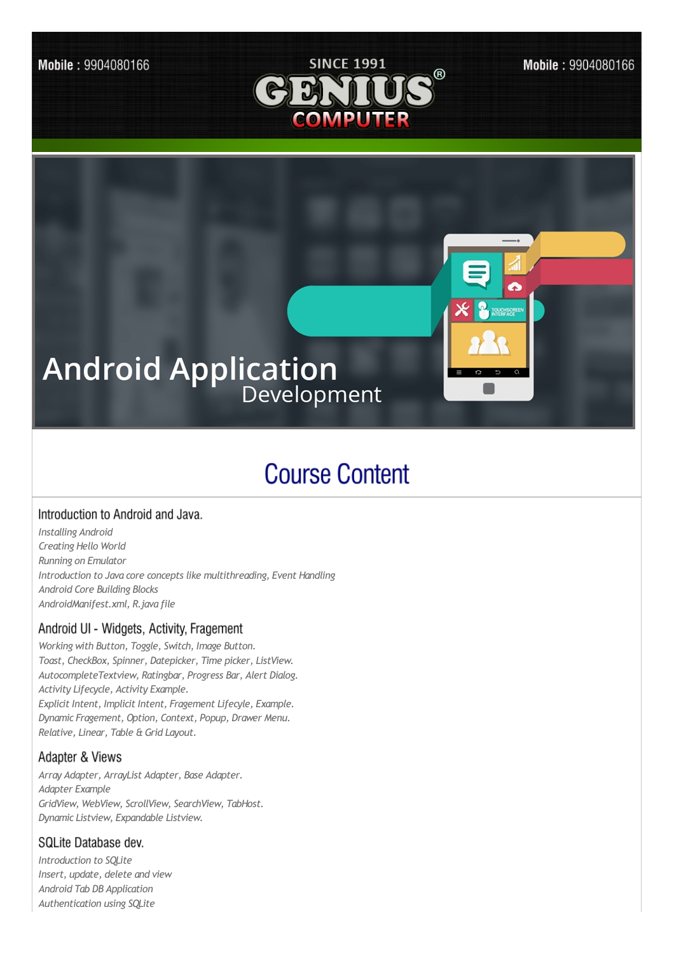

Mobile: 9904080166



# **Course Content**

## Introduction to Android and Java.

*Installing Android Creating Hello World Running on Emulator Introduction to Java core concepts like multithreading, Event Handling Android Core Building Blocks AndroidManifest.xml, R.java file*

# Android UI - Widgets, Activity, Fragement

*Working with Button, Toggle, Switch, Image Button. Toast, CheckBox, Spinner, Datepicker, Time picker, ListView. AutocompleteTextview, Ratingbar, Progress Bar, Alert Dialog. Activity Lifecycle, Activity Example. Explicit Intent, Implicit Intent, Fragement Lifecyle, Example. Dynamic Fragement, Option, Context, Popup, Drawer Menu. Relative, Linear, Table & Grid Layout.*

## Adapter & Views

*Array Adapter, ArrayList Adapter, Base Adapter. Adapter Example GridView, WebView, ScrollView, SearchView, TabHost. Dynamic Listview, Expandable Listview.*

# SQLite Database dev.

*Introduction to SQLite Insert, update, delete and view Android Tab DB Application Authentication using SQLite*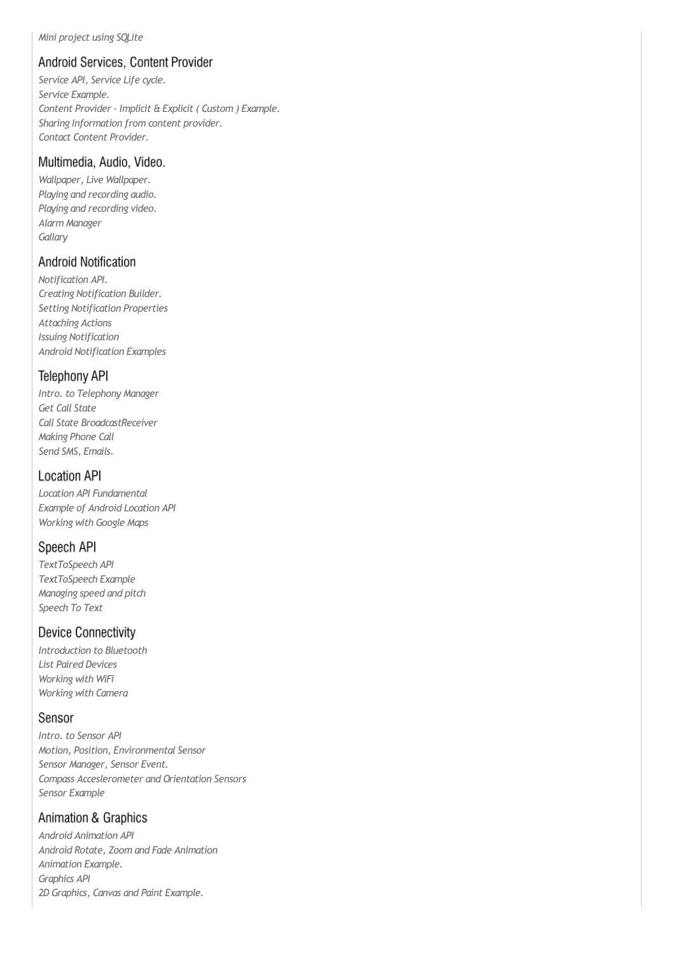#### *Mini project using SQLite*

## Android Services, Content Provider

*Service API, Service Life cycle. Service Example. Content Provider - Implicit & Explicit ( Custom ) Example. Sharing Information from content provider. Contact Content Provider.*

#### Multimedia, Audio, Video.

*Wallpaper, Live Wallpaper. Playing and recording audio. Playing and recording video. Alarm Manager Gallary*

#### **Android Notification**

*Notification API. Creating Notification Builder. Setting Notification Properties Attaching Actions Issuing Notification Android Notification Examples*

#### **Telephony API**

*Intro. to Telephony Manager Get Call State Call State BroadcastReceiver Making Phone Call Send SMS, Emails.*

#### **Location API**

*Location API Fundamental Example of Android Location API Working with Google Maps*

## Speech API

*TextToSpeech API TextToSpeech Example Managing speed and pitch Speech To Text*

#### **Device Connectivity**

*Introduction to Bluetooth List Paired Devices Working with WiFi Working with Camera*

#### Sensor

*Intro. to Sensor API Motion, Position, Environmental Sensor Sensor Manager, Sensor Event. Compass Acceslerometer and Orientation Sensors Sensor Example*

## Animation & Graphics

*Android Animation API Android Rotate, Zoom and Fade Animation Animation Example. Graphics API 2D Graphics, Canvas and Paint Example.*